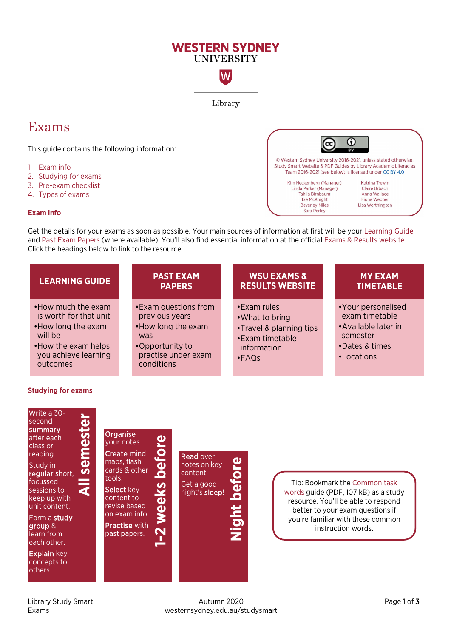# **WESTERN SYDNEY UNIVERSITY**

W

Library

0

Katrina Trewin

**Claire Urbach** 

Anna Wallace

Fiona Webber

Lisa Worthington

© Western Sydney University 2016-2021, unless stated otherwise. Study Smart Website & PDF Guides by Library Academic Literacies Team 2016-2021 (see below) is licensed under CC BY 4.0

(cc

Kim Heckenberg (Manager)

Linda Parker (Manager)

Tahlia Birnbaum

**Tae McKnight** 

**Beverley Miles** 

Sara Perley

# Exams

This guide contains the following information:

- 1. [Exam info](#page-0-0)
- 2. [Studying for exams](#page-0-1)
- 3. [Pre-exam checklist](#page-1-0)
- 4. [Types of exams](#page-2-0)

#### <span id="page-0-0"></span>**Exam info**

Get the details for your exams as soon as possible. Your main sources of information at first will be your [Learning Guide](https://library.westernsydney.edu.au/main/resources/learning-guides) and Past [Exam Papers](https://library.westernsydney.edu.au/main/resources/exam-papers) (where available). You'll also find essential information at the official [Exams & Results website.](https://www.westernsydney.edu.au/currentstudents/current_students/exams)  Click the headings below to link to the resource.



# <span id="page-0-1"></span>**Studying for exams**

Write a 30-

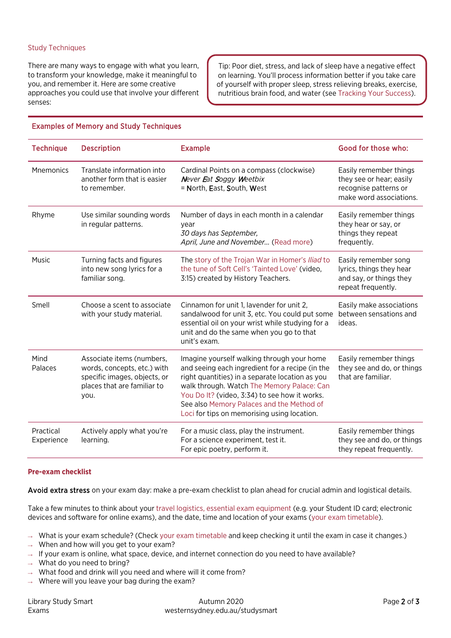#### Study Techniques

There are many ways to engage with what you learn, to transform your knowledge, make it meaningful to you, and remember it. Here are some creative approaches you could use that involve your different senses:

Tip: Poor diet, stress, and lack of sleep have a negative effect on learning. You'll process information better if you take care of yourself with proper sleep, stress relieving breaks, exercise, nutritious brain food, and water (se[e Tracking Your Success\)](https://westernsydney.edu.au/studysmart/home/successful_study/tracking_your_success).

| <b>Technique</b>        | <b>Description</b>                                                                                                              | <b>Example</b>                                                                                                                                                                                                                                                                                                                              | Good for those who:                                                                                    |
|-------------------------|---------------------------------------------------------------------------------------------------------------------------------|---------------------------------------------------------------------------------------------------------------------------------------------------------------------------------------------------------------------------------------------------------------------------------------------------------------------------------------------|--------------------------------------------------------------------------------------------------------|
| Mnemonics               | Translate information into<br>another form that is easier<br>to remember.                                                       | Cardinal Points on a compass (clockwise)<br>Never Eat Soggy Weetbix<br>= North, East, South, West                                                                                                                                                                                                                                           | Easily remember things<br>they see or hear; easily<br>recognise patterns or<br>make word associations. |
| Rhyme                   | Use similar sounding words<br>in regular patterns.                                                                              | Number of days in each month in a calendar<br>year<br>30 days has September,<br>April, June and November (Read more)                                                                                                                                                                                                                        | Easily remember things<br>they hear or say, or<br>things they repeat<br>frequently.                    |
| Music                   | Turning facts and figures<br>into new song lyrics for a<br>familiar song.                                                       | The story of the Trojan War in Homer's Iliad to<br>the tune of Soft Cell's 'Tainted Love' (video,<br>3:15) created by History Teachers.                                                                                                                                                                                                     | Easily remember song<br>lyrics, things they hear<br>and say, or things they<br>repeat frequently.      |
| Smell                   | Choose a scent to associate<br>with your study material.                                                                        | Cinnamon for unit 1, lavender for unit 2,<br>sandalwood for unit 3, etc. You could put some<br>essential oil on your wrist while studying for a<br>unit and do the same when you go to that<br>unit's exam.                                                                                                                                 | Easily make associations<br>between sensations and<br>ideas.                                           |
| Mind<br>Palaces         | Associate items (numbers,<br>words, concepts, etc.) with<br>specific images, objects, or<br>places that are familiar to<br>you. | Imagine yourself walking through your home<br>and seeing each ingredient for a recipe (in the<br>right quantities) in a separate location as you<br>walk through. Watch The Memory Palace: Can<br>You Do It? (video, 3:34) to see how it works.<br>See also Memory Palaces and the Method of<br>Loci for tips on memorising using location. | Easily remember things<br>they see and do, or things<br>that are familiar.                             |
| Practical<br>Experience | Actively apply what you're<br>learning.                                                                                         | For a music class, play the instrument.<br>For a science experiment, test it.<br>For epic poetry, perform it.                                                                                                                                                                                                                               | Easily remember things<br>they see and do, or things<br>they repeat frequently.                        |

# Examples of Memory and Study Techniques

#### <span id="page-1-0"></span>**Pre-exam checklist**

Avoid extra stress on your exam day: make a pre-exam checklist to plan ahead for crucial admin and logistical details.

Take a few minutes to think about your [travel logistics,](http://www.westernsydney.edu.au/currentstudents/current_students/exams/travelling_to_exams) [essential exam equipment](http://www.westernsydney.edu.au/currentstudents/current_students/exams/exam_information) (e.g. your Student ID card; electronic devices and software for online exams), and the date, time and location of your exams [\(your exam timetable\)](http://www.westernsydney.edu.au/currentstudents/current_students/exams/exam_timetable).

- $\rightarrow$  What is your exam schedule? (Check [your exam timetable](http://www.westernsydney.edu.au/currentstudents/current_students/exams/exam_timetable) and keep checking it until the exam in case it changes.)
- $\rightarrow$  When and how will you get to your exam?
- $\rightarrow$  If your exam is online, what space, device, and internet connection do you need to have available?
- $\rightarrow$  What do you need to bring?
- $\rightarrow$  What food and drink will you need and where will it come from?
- $\rightarrow$  Where will you leave your bag during the exam?

Library Study Smart **Autumn 2020** Autumn 2020 **Page 2 of 3** Exams westernsydney.edu.au/studysmart